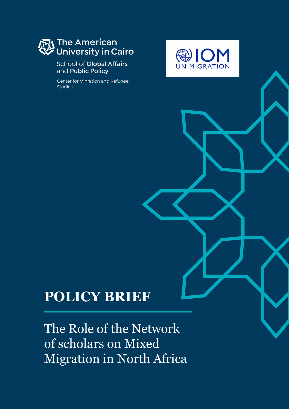# The American<br>University in Cairo

#### School of **Global Affairs**  and **Public Policy**

Center for Migration and Refugee Studies



## **POLICY BRIEF**

The Role of the Network of scholars on Mixed Migration in North Africa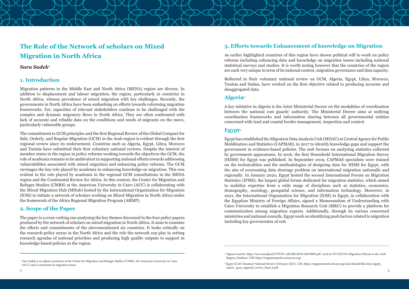#### **1. Introduction**

Migration patterns in the Middle East and North Africa (MENA) region are diverse. In addition to displacement and labour migration, the region, particularly in countries in North Africa, witness prevalence of mixed migration with key challenges. Recently, the governments in North Africa have been embarking on efforts towards reforming migration frameworks. Yet, capacities of relevant stakeholders continue to be challenged with the complex and dynamic migratory flows in North Africa. They are often confronted with lack of accurate and reliable data on the conditions and needs of migrants on the move, particularly vulnerable groups.

The commitment to GCM principles and the first Regional Review of the Global Compact for Safe, Orderly, and Regular Migration (GCM) in the Arab region is evident through the first regional review since its endorsement. Countries such as Algeria, Egypt, Libya, Morocco and Tunisia have submitted their first voluntary national reviews. Despite the interest of member states in the region in policy reforms working towards the objectives the GCM, the role of academia remains to be ambivalent in supporting national efforts towards addressing vulnerabilities associated with mixed migration and enhancing policy reforms. The GCM envisages the key role played by academia in enhancing knowledge on migration. This was evident in the role played by academia in the regional GCM consultations in the MENA region and the Continental Review for Africa. In this context, the Center for Migration and Refugee Studies (CMRS) at the American University in Cairo (AUC) is collaborating with the Mixed Migration Hub (MHub) hosted by the International Organization for Migration (IOM) to initiate a network of scholars working on Mixed Migration in North Africa under the framework of the Africa Regional Migration Program (ARMP).

#### **2. Scope of the Paper**

The paper is a cross-cutting one analysing the key themes discussed in the four policy papers produced by the network of scholars on mixed migration in North Africa. It aims to examine the efforts and commitments of the abovementioned six countries. It looks critically on the research-policy nexus in the North Africa and the role the network can play in setting research agendas of national priorities and producing high quality outputs to support in knowledge-based policies in the region.

### **The Role of the Network of scholars on Mixed Migration in North Africa**

#### *Sara Sadek1*

#### **3. Efforts towards Enhancement of knowledge on Migration**

As earlier highlighted countries of this region have shown political will to work on policy reforms including enhancing data and knowledge on migration issues including national statistical surveys and studies. It is worth noting however that the countries of the region are each very unique in term of its national context, migration governance and data capacity.

Reflected in their voluntary national review on GCM, Algeria, Egypt, Libya, Morocco, Tunisia and Sudan, have worked on the first objective related to producing accurate and disaggregated data.

#### **Algeria**<sup>2</sup>

A key initiative in Algeria is the Joint Ministerial Decree on the modalities of coordination between the national cost guards' authority. The Ministerial Decree aims at unifying coordination frameworks and information sharing between all governmental entities concerned with land and coastal border management, inspection and control.

#### **Egypt**<sup>3</sup>

Egypt has established the Migration Data Analysis Unit (MDAU) at Central Agency for Public Mobilization and Statistics (CAPMAS), in 2017 to identify knowledge gaps and support the government in evidence-based policies. The unit focuses on analyzing statistics collected by government apparatuses. In 2016, the first Household International Migration Survey (HIMS) for Egypt was published. In September 2019, CAPMAS specialists were trained on the technicalities and the methodologies of designing data for HIMS for Egypt, with the aim of overcoming data shortage problem on international migration nationally and regionally. In January 2020, Egypt hosted the second International Forum on Migration Statistics (IFMS), the largest global forum dedicated for migration statistics, which aimed to mobilize expertise from a wide range of disciplines such as statistics, economics, demography, sociology, geospatial science, and information technology. Moreover, in 2021, the International Organization for Migration (IOM) in Egypt, in collaboration with the Egyptian Ministry of Foreign Affairs, signed a Memorandum of Understanding with Cairo University to establish a Migration Research Unit (MRU) to provide a platform for communication among migration experts. Additionally, through its various concerned ministries and national councils, Egypt work on identifying push factors related to migration including key governorates of exit.

 $\frac{1}{2}$   $\frac{1}{2}$   $\frac{1}{2}$   $\frac{1}{2}$   $\frac{1}{2}$   $\frac{1}{2}$   $\frac{1}{2}$   $\frac{1}{2}$   $\frac{1}{2}$   $\frac{1}{2}$   $\frac{1}{2}$   $\frac{1}{2}$   $\frac{1}{2}$   $\frac{1}{2}$   $\frac{1}{2}$   $\frac{1}{2}$   $\frac{1}{2}$   $\frac{1}{2}$   $\frac{1}{2}$   $\frac{1}{2}$   $\frac{1}{2}$   $\frac{1}{2}$  2 Egypt GCM Voluntary National Review (February 2021), URL https://migrationnetwork.un.org/sites/default/files/docs/egypt\_ report\_-gcm\_regional\_review\_final\_6.pdf

<sup>1</sup> Sara Sadek is an adjunct professor at the Center for Migration and Refugee Studies (CMRS), the American University in Cairo (AUC) and a consultant on migration issues.

<sup>2</sup> Algeria Gazette, https://www.joradp.dz/FTP/JO-ARABE/2019/A2019069.pdf cited in UN-ESCWA Migration Policies in the Arab Region, Database. URL https://migrationpolicy.unescwa.org/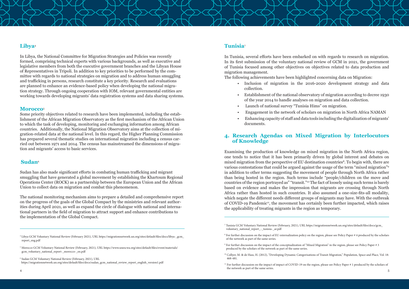5 Morocco GCM Voluntary National Review (February, 2021), URL https://www.unescwa.org/sites/default/files/event/materials/ gcm\_voluntary\_national\_report-\_morocco-\_en.pdf

6 Sudan GCM Voluntary National Review (February, 2021), URL https://migrationnetwork.un.org/sites/default/files/docs/sudan\_gcm\_national\_review\_report\_english\_version1.pdf



- 
- 
- 
- 

#### **Tunisia**<sup>7</sup>

In Tunisia, several efforts have been embarked on with regards to research on migration. In its first submission of the voluntary national review of GCM in 2021, the government of Tunisia focused among other objectives on objectives related to data production and migration management.

The following achievements have been highlighted concerning data on Migration: • Inclusion of migration in the 2016-2020 development strategy and data

- collection.
- Establishment of the national observatory of migration according to decree 1930 of the year 2014 to handle analyses on migration and data collection.
- Launch of national survey "Tunisia Hims" on migration.
- Engagement in the network of scholars on migration in North Africa NAMAN
- Enhancing capacity of staff and data tools including the digitalization of migrants' documents.

#### **4. Research Agendas on Mixed Migration by Interlocutors of Knowledge**

Examining the production of knowledge on mixed migration in the North Africa region, one tends to notice that it has been primarily driven by global interest and debates on mixed migration from the perspective of EU destination countries<sup>8</sup>. To begin with, there are various contestations that could be argued against the usage of the term "mixed migration"9 in addition to other terms suggesting the movement of people through North Africa rather than being hosted in the region. Such terms include "people/children on the move and countries of the region portrayed as" "transit."10 The fact of loosely using such terms is barely based on evidence and makes the impression that migrants are crossing through North Africa rather than hosted in such countries. It also assumed a one-size-fits-all modality, which negate the different needs different groups of migrants may have. With the outbreak of COVID-19 Pandemic<sup>11</sup>, the movement has certainly been further impacted, which raises the applicability of treating migrants in the region as temporary.

#### **Libya**<sup>4</sup>

In Libya, the National Committee for Migration Strategies and Policies was recently formed, comprising technical experts with various backgrounds, as well as executive and legislative members from both the executive government branches and the Libyan House of Representatives in Tripoli. In addition to key priorities to be performed by the committee with regards to national strategies on migration and to address human smuggling and trafficking in persons, research constitute a key priority. Research and evaluations are planned to enhance an evidence-based policy when developing the national migration strategy. Through ongoing cooperation with IOM, relevant governmental entities are working towards developing migrants' data registration systems and data sharing systems.

#### **Morocco**<sup>5</sup>

Some priority objectives related to research have been implemented, including the establishment of the African Migration Observatory as the first mechanism of the African Union to which the task of developing, monitoring and exchanging information among African countries. Additionally, the National Migration Observatory aims at the collection of migration-related data at the national level. In this regard, the Higher Planning Commission has prepared several thematic studies on international migration including a census carried out between 1971 and 2014. The census has mainstreamed the dimensions of migration and migrants' access to basic services.

#### **Sudan**<sup>6</sup>

Sudan has also made significant efforts in combating human trafficking and migrant smuggling that have generated a global movement by establishing the Khartoum Regional Operations Center (ROCK) as a partnership between the European Union and the African Union to collect data on migration and combat this phenomenon.

The national monitoring mechanism aims to prepare a detailed and comprehensive report on the progress of the goals of the Global Compact by the ministries and relevant authorities during April 2021, as well as expand the circle of dialogue with national and international partners in the field of migration to attract support and enhance contributions to the implementation of the Global Compact.

<sup>4</sup> Libya GCM Voluntary National Review (February 2021), URL https://migrationnetwork.un.org/sites/default/files/docs/libya-\_gcm\_ report\_eng.pdf

<sup>7</sup> Tunisia GCM Voluntary National Review (February, 2021), URL https://migrationnetwork.un.org/sites/default/files/docs/gcm\_ voluntary national report - tunisia- ar.pdf

<sup>&</sup>lt;sup>10</sup> Collyer, M. & de Hass, H. (2012), "Developing Dynamic Categorisations of Transit Migration," Population, Space and Place, Vol. 18: 468-481.

<sup>4</sup> for the same series. <sup>11</sup> For further discussion on the impact of impact of COVID-19 on the region, please see Policy Paper # 1 produced by the scholars of the network as part of the same series.

<sup>8</sup> For further discussion on the impact of EU externalization policy on the region, please see Policy Paper # 4 produced by the scholars of the network as part of the same series.

<sup>9</sup> For further discussion on the impact of the conceptualization of "Mixed Migration" in the region, please see Policy Paper # 3 produced by the scholars of the network as part of the same series.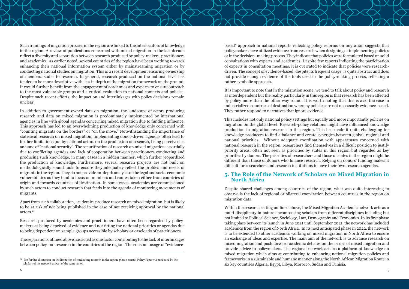Such framings of migration process in the region are linked to the interlocutors of knowledge in the region. A review of publications concerned with mixed migration in the last decade reflect a diversity and separation between research produced by policy-makers, practitioners and academics. As earlier noted, several countries of the region have been working towards enhancing their national information system either by mainstreaming migration or by conducting national studies on migration. This is a recent development ensuring ownership of members states to research. In general, research produced on the national level has tended to be more descriptive with less in depth of the migration framework on the ground. It would further benefit from the engagement of academics and experts to ensure outreach to the most vulnerable groups and a critical evaluation to national contexts and policies. Despite such recent efforts, the impact on and interlinkages with policy decisions remain unclear.

In addition to government-owned data on migration, the landscape of actors producing research and data on mixed migration is predominately implemented by international agencies in line with global agendas concerning mixed migration due to funding influence. This approach has led to an overwhelming production of knowledge only concerned with "counting migrants on the borders" or "on the move." Notwithstanding the importance of statistical research on mixed migration, implementing donor-driven agendas often lead to further limitations put by national actors on the production of research, being perceived as an issue of "national security". The securitization of research on mixed migration is partially due to conflicting agendas and lack of cooperation between practitioners conducting and producing such knowledge, in many cases in a hidden manner, which further jeopardized the production of knowledge. Furthermore, several research projects are not built on methodologically sound tools to ensure they adequately reflect the profiles and needs of migrants in the region. They do not provide an-depth analysis of the legal and socio-economic vulnerabilities as they tend to focus on numbers and routes taken either from countries of origin and towards countries of destination. In some cases, academics are commissioned by such actors to conduct research that feeds into the agenda of monitoring movements of migrants.

Apart from such collaboration, academics produce research on mixed migration, but is likely to be at risk of not being published in the case of not receiving approval by the national actors.12

Research produced by academics and practitioners have often been regarded by policymakers as being deprived of evidence and not fitting the national priorities or agendas due to being dependent on sample groups accessible by scholars or caseloads of practitioners.

The separation outlined above has acted as one factor contributing to the lack of interlinkages between policy and research in the countries of the region. The constant usage of "evidence-

based" approach in national reports reflecting policy reforms on migration suggests that policymakers have utilized evidence from research when designing or implementing policies or in the decision- making process. They indicate that policies were formulated based on solid consultations with experts and academics. Despite few reports indicating the participation of experts in consultation meetings, it is overrated to indicate that policies were researchdriven. The concept of evidence-based, despite its frequent usage, is quite abstract and does not provide enough evidence of the tools used in the policy-making process, reflecting a rather symbolic approach.

It is important to note that in the migration scene, we tend to talk about policy and research as interdependent but the reality particularly in this region is that research has been affected by policy more than the other way round. It is worth noting that this is also the case in industrialized countries of destination whereby policies are not necessarily evidence-based. They rather respond to narratives that ignore evidence.

This includes not only national policy settings but equally and more importantly policies on migration on the global level. Research-policy relations might have influenced knowledge production in migration research in this region. This has made it quite challenging for knowledge producers to find a balance and create synergies between global, regional and national priorities. Without adequate coordination with apparatuses concerned with national research in the region, researchers find themselves in a difficult position to justify priority areas, often not seen as priorities by states in this region but regarded as key priorities by donors. The priorities of researchers and those of states in the region might be different than those of donors who finance research. Relying on donors' funding makes it difficult for researchers and research institutions to have their own research agendas.

#### **5. The Role of the Network of Scholars on Mixed Migration in North Africa**

Despite shared challenges among countries of the region, what was quite interesting to observe is the lack of regional or bilateral cooperation between countries in the region on migration data.

Within the research setting outlined above, the Mixed Migration Academic network acts as a multi-disciplinary in nature encompassing scholars from different disciplines including but not limited to Political Science, Sociology, Law, Demography and Economics. In its first phase taking place between its launch in June 2021 until September 2021, the network has included academics from the region of North Africa. In its next anticipated phase in 2022, the network is to be extended to other academics working on mixed migration in North Africa to ensure an exchange of ideas and expertise. The main aim of the network is to advance research on mixed migration and push forward academic debates on the issues of mixed migration and provide advice to policymakers. The regional network acts as a platform of knowledge on mixed migration which aims at contributing to enhancing national migration policies and frameworks in a sustainable and humane manner along the North African Migration Route in six key countries Algeria, Egypt, Libya, Morocco, Sudan and Tunisia.

 $12$  For further discussion on the limitation of conducting research in the region, please consult Policy Paper # 2 produced by the scholars of the network as part of the same series.